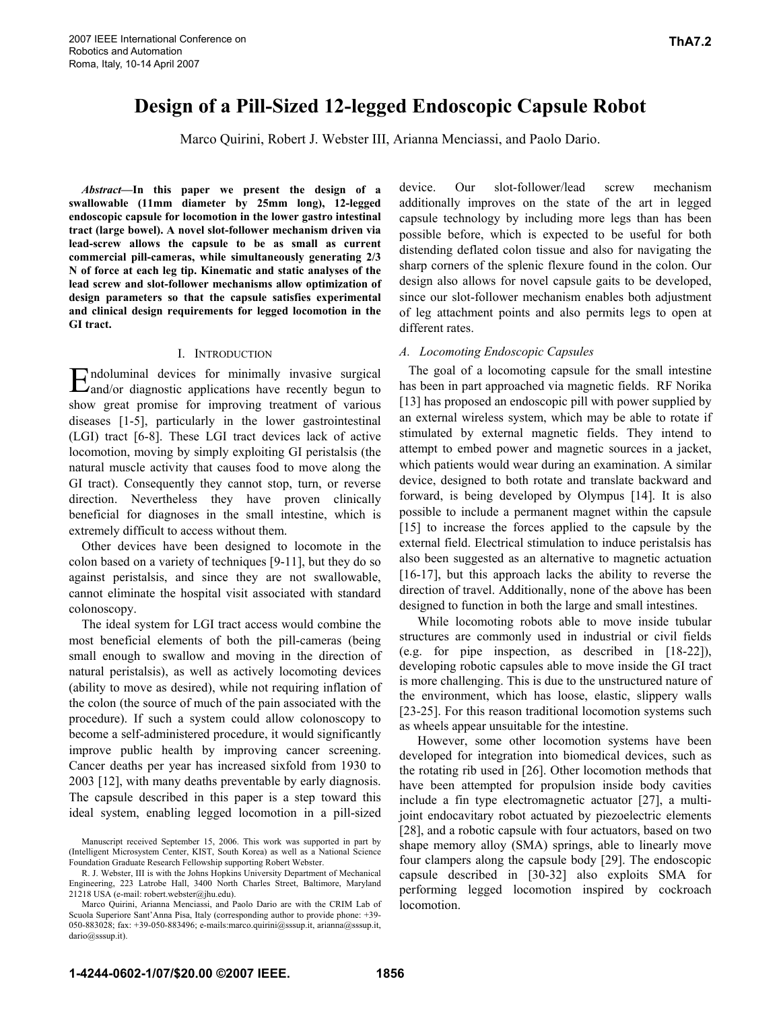# **Design of a Pill-Sized 12-legged Endoscopic Capsule Robot**

Marco Quirini, Robert J. Webster III, Arianna Menciassi, and Paolo Dario.

*Abstract***—In this paper we present the design of a swallowable (11mm diameter by 25mm long), 12-legged endoscopic capsule for locomotion in the lower gastro intestinal tract (large bowel). A novel slot-follower mechanism driven via lead-screw allows the capsule to be as small as current commercial pill-cameras, while simultaneously generating 2/3 N of force at each leg tip. Kinematic and static analyses of the lead screw and slot-follower mechanisms allow optimization of design parameters so that the capsule satisfies experimental and clinical design requirements for legged locomotion in the GI tract.** 

#### I. INTRODUCTION

ndoluminal devices for minimally invasive surgical Endoluminal devices for minimally invasive surgical and/or diagnostic applications have recently begun to show great promise for improving treatment of various diseases [1-5], particularly in the lower gastrointestinal (LGI) tract [6-8]. These LGI tract devices lack of active locomotion, moving by simply exploiting GI peristalsis (the natural muscle activity that causes food to move along the GI tract). Consequently they cannot stop, turn, or reverse direction. Nevertheless they have proven clinically beneficial for diagnoses in the small intestine, which is extremely difficult to access without them.

Other devices have been designed to locomote in the colon based on a variety of techniques [9-11], but they do so against peristalsis, and since they are not swallowable, cannot eliminate the hospital visit associated with standard colonoscopy.

The ideal system for LGI tract access would combine the most beneficial elements of both the pill-cameras (being small enough to swallow and moving in the direction of natural peristalsis), as well as actively locomoting devices (ability to move as desired), while not requiring inflation of the colon (the source of much of the pain associated with the procedure). If such a system could allow colonoscopy to become a self-administered procedure, it would significantly improve public health by improving cancer screening. Cancer deaths per year has increased sixfold from 1930 to 2003 [12], with many deaths preventable by early diagnosis. The capsule described in this paper is a step toward this ideal system, enabling legged locomotion in a pill-sized

device. Our slot-follower/lead screw mechanism additionally improves on the state of the art in legged capsule technology by including more legs than has been possible before, which is expected to be useful for both distending deflated colon tissue and also for navigating the sharp corners of the splenic flexure found in the colon. Our design also allows for novel capsule gaits to be developed, since our slot-follower mechanism enables both adjustment of leg attachment points and also permits legs to open at different rates.

# *A. Locomoting Endoscopic Capsules*

The goal of a locomoting capsule for the small intestine has been in part approached via magnetic fields. RF Norika [13] has proposed an endoscopic pill with power supplied by an external wireless system, which may be able to rotate if stimulated by external magnetic fields. They intend to attempt to embed power and magnetic sources in a jacket, which patients would wear during an examination. A similar device, designed to both rotate and translate backward and forward, is being developed by Olympus [14]. It is also possible to include a permanent magnet within the capsule [15] to increase the forces applied to the capsule by the external field. Electrical stimulation to induce peristalsis has also been suggested as an alternative to magnetic actuation [16-17], but this approach lacks the ability to reverse the direction of travel. Additionally, none of the above has been designed to function in both the large and small intestines.

While locomoting robots able to move inside tubular structures are commonly used in industrial or civil fields (e.g. for pipe inspection, as described in [18-22]), developing robotic capsules able to move inside the GI tract is more challenging. This is due to the unstructured nature of the environment, which has loose, elastic, slippery walls [23-25]. For this reason traditional locomotion systems such as wheels appear unsuitable for the intestine.

However, some other locomotion systems have been developed for integration into biomedical devices, such as the rotating rib used in [26]. Other locomotion methods that have been attempted for propulsion inside body cavities include a fin type electromagnetic actuator [27], a multijoint endocavitary robot actuated by piezoelectric elements [28], and a robotic capsule with four actuators, based on two shape memory alloy (SMA) springs, able to linearly move four clampers along the capsule body [29]. The endoscopic capsule described in [30-32] also exploits SMA for performing legged locomotion inspired by cockroach locomotion.

Manuscript received September 15, 2006. This work was supported in part by (Intelligent Microsystem Center, KIST, South Korea) as well as a National Science Foundation Graduate Research Fellowship supporting Robert Webster.

R. J. Webster, III is with the Johns Hopkins University Department of Mechanical Engineering, 223 Latrobe Hall, 3400 North Charles Street, Baltimore, Maryland 21218 USA (e-mail: robert.webster@jhu.edu).

Marco Quirini, Arianna Menciassi, and Paolo Dario are with the CRIM Lab of Scuola Superiore Sant'Anna Pisa, Italy (corresponding author to provide phone: +39- 050-883028; fax: +39-050-883496; e-mails:marco.quirini@sssup.it, arianna@sssup.it, dario@sssup.it).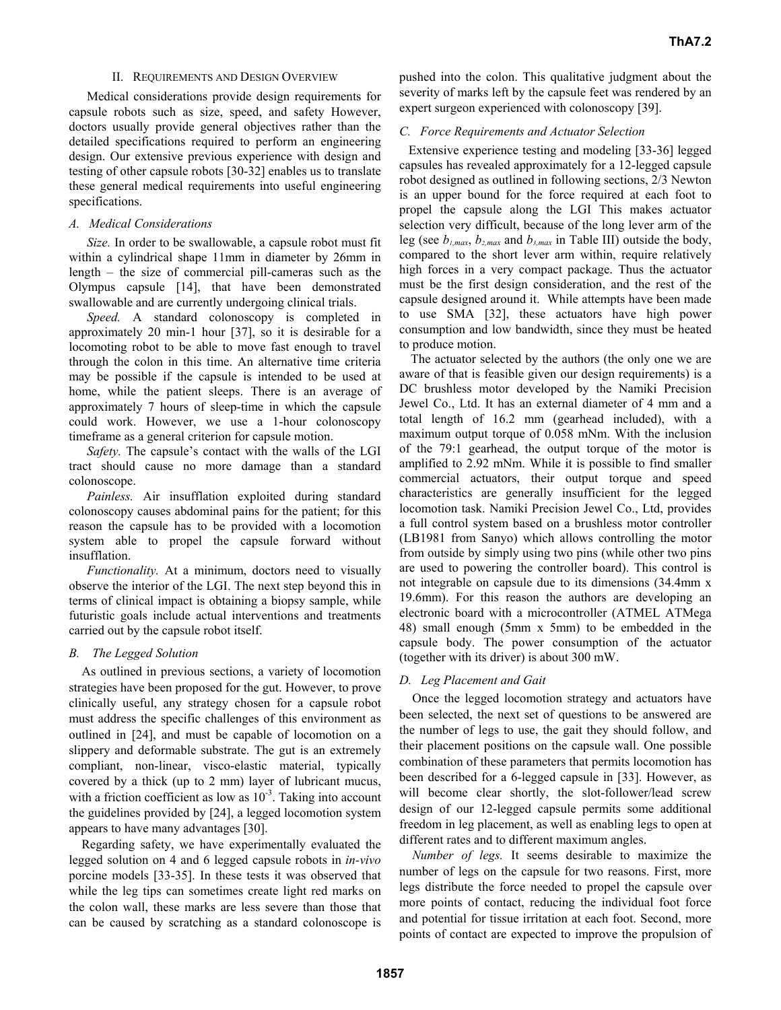### II. REQUIREMENTS AND DESIGN OVERVIEW

Medical considerations provide design requirements for capsule robots such as size, speed, and safety However, doctors usually provide general objectives rather than the detailed specifications required to perform an engineering design. Our extensive previous experience with design and testing of other capsule robots [30-32] enables us to translate these general medical requirements into useful engineering specifications.

# *A. Medical Considerations*

*Size.* In order to be swallowable, a capsule robot must fit within a cylindrical shape 11mm in diameter by 26mm in length – the size of commercial pill-cameras such as the Olympus capsule [14], that have been demonstrated swallowable and are currently undergoing clinical trials.

*Speed.* A standard colonoscopy is completed in approximately 20 min-1 hour [37], so it is desirable for a locomoting robot to be able to move fast enough to travel through the colon in this time. An alternative time criteria may be possible if the capsule is intended to be used at home, while the patient sleeps. There is an average of approximately 7 hours of sleep-time in which the capsule could work. However, we use a 1-hour colonoscopy timeframe as a general criterion for capsule motion.

*Safety.* The capsule's contact with the walls of the LGI tract should cause no more damage than a standard colonoscope.

*Painless.* Air insufflation exploited during standard colonoscopy causes abdominal pains for the patient; for this reason the capsule has to be provided with a locomotion system able to propel the capsule forward without insufflation.

*Functionality.* At a minimum, doctors need to visually observe the interior of the LGI. The next step beyond this in terms of clinical impact is obtaining a biopsy sample, while futuristic goals include actual interventions and treatments carried out by the capsule robot itself.

# *B. The Legged Solution*

As outlined in previous sections, a variety of locomotion strategies have been proposed for the gut. However, to prove clinically useful, any strategy chosen for a capsule robot must address the specific challenges of this environment as outlined in [24], and must be capable of locomotion on a slippery and deformable substrate. The gut is an extremely compliant, non-linear, visco-elastic material, typically covered by a thick (up to 2 mm) layer of lubricant mucus, with a friction coefficient as low as  $10^{-3}$ . Taking into account the guidelines provided by [24], a legged locomotion system appears to have many advantages [30].

Regarding safety, we have experimentally evaluated the legged solution on 4 and 6 legged capsule robots in *in-vivo* porcine models [33-35]. In these tests it was observed that while the leg tips can sometimes create light red marks on the colon wall, these marks are less severe than those that can be caused by scratching as a standard colonoscope is

pushed into the colon. This qualitative judgment about the severity of marks left by the capsule feet was rendered by an expert surgeon experienced with colonoscopy [39].

# *C. Force Requirements and Actuator Selection*

Extensive experience testing and modeling [33-36] legged capsules has revealed approximately for a 12-legged capsule robot designed as outlined in following sections, 2/3 Newton is an upper bound for the force required at each foot to propel the capsule along the LGI This makes actuator selection very difficult, because of the long lever arm of the leg (see  $b_{1,max}$ ,  $b_{2,max}$  and  $b_{3,max}$  in Table III) outside the body, compared to the short lever arm within, require relatively high forces in a very compact package. Thus the actuator must be the first design consideration, and the rest of the capsule designed around it. While attempts have been made to use SMA [32], these actuators have high power consumption and low bandwidth, since they must be heated to produce motion.

The actuator selected by the authors (the only one we are aware of that is feasible given our design requirements) is a DC brushless motor developed by the Namiki Precision Jewel Co., Ltd. It has an external diameter of 4 mm and a total length of 16.2 mm (gearhead included), with a maximum output torque of 0.058 mNm. With the inclusion of the 79:1 gearhead, the output torque of the motor is amplified to 2.92 mNm. While it is possible to find smaller commercial actuators, their output torque and speed characteristics are generally insufficient for the legged locomotion task. Namiki Precision Jewel Co., Ltd, provides a full control system based on a brushless motor controller (LB1981 from Sanyo) which allows controlling the motor from outside by simply using two pins (while other two pins are used to powering the controller board). This control is not integrable on capsule due to its dimensions (34.4mm x 19.6mm). For this reason the authors are developing an electronic board with a microcontroller (ATMEL ATMega 48) small enough (5mm x 5mm) to be embedded in the capsule body. The power consumption of the actuator (together with its driver) is about 300 mW.

# *D. Leg Placement and Gait*

Once the legged locomotion strategy and actuators have been selected, the next set of questions to be answered are the number of legs to use, the gait they should follow, and their placement positions on the capsule wall. One possible combination of these parameters that permits locomotion has been described for a 6-legged capsule in [33]. However, as will become clear shortly, the slot-follower/lead screw design of our 12-legged capsule permits some additional freedom in leg placement, as well as enabling legs to open at different rates and to different maximum angles.

*Number of legs.* It seems desirable to maximize the number of legs on the capsule for two reasons. First, more legs distribute the force needed to propel the capsule over more points of contact, reducing the individual foot force and potential for tissue irritation at each foot. Second, more points of contact are expected to improve the propulsion of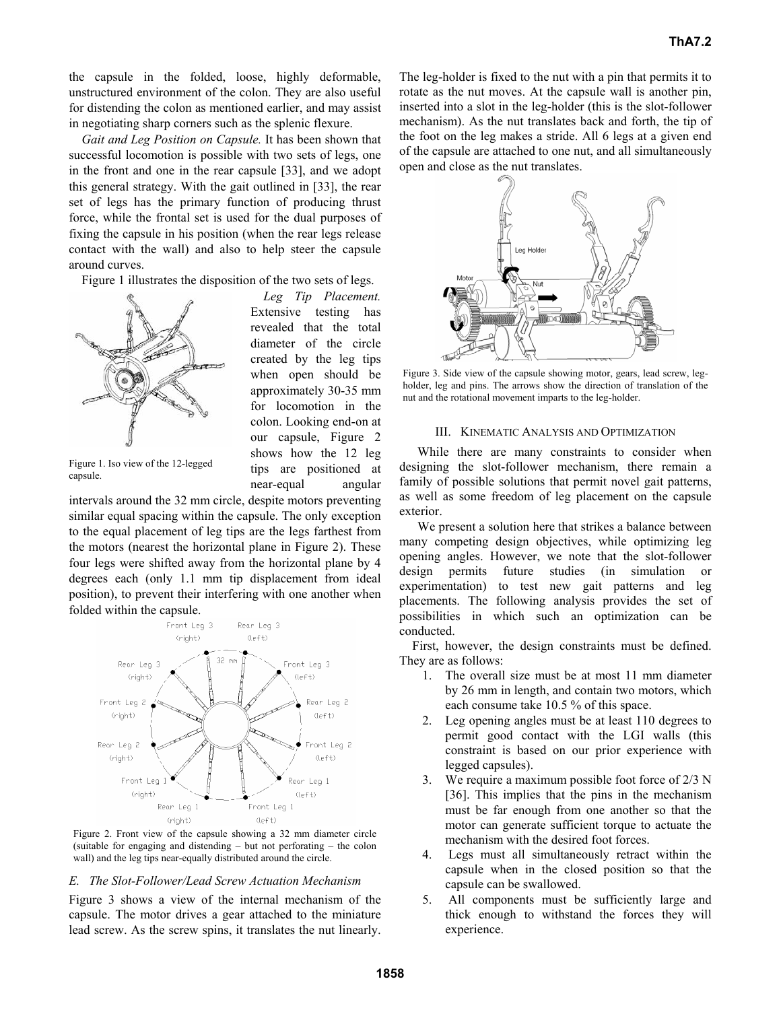the capsule in the folded, loose, highly deformable, unstructured environment of the colon. They are also useful for distending the colon as mentioned earlier, and may assist in negotiating sharp corners such as the splenic flexure.

*Gait and Leg Position on Capsule.* It has been shown that successful locomotion is possible with two sets of legs, one in the front and one in the rear capsule [33], and we adopt this general strategy. With the gait outlined in [33], the rear set of legs has the primary function of producing thrust force, while the frontal set is used for the dual purposes of fixing the capsule in his position (when the rear legs release contact with the wall) and also to help steer the capsule around curves.

Figure 1 illustrates the disposition of the two sets of legs.



*Leg Tip Placement.*  Extensive testing has revealed that the total diameter of the circle created by the leg tips when open should be approximately 30-35 mm for locomotion in the colon. Looking end-on at our capsule, Figure 2 shows how the 12 leg tips are positioned at near-equal angular

Figure 1. Iso view of the 12-legged capsule.

intervals around the 32 mm circle, despite motors preventing similar equal spacing within the capsule. The only exception to the equal placement of leg tips are the legs farthest from the motors (nearest the horizontal plane in Figure 2). These four legs were shifted away from the horizontal plane by 4 degrees each (only 1.1 mm tip displacement from ideal position), to prevent their interfering with one another when folded within the capsule.



Figure 2. Front view of the capsule showing a 32 mm diameter circle (suitable for engaging and distending – but not perforating – the colon wall) and the leg tips near-equally distributed around the circle.

#### *E. The Slot-Follower/Lead Screw Actuation Mechanism*

Figure 3 shows a view of the internal mechanism of the capsule. The motor drives a gear attached to the miniature lead screw. As the screw spins, it translates the nut linearly.

The leg-holder is fixed to the nut with a pin that permits it to rotate as the nut moves. At the capsule wall is another pin, inserted into a slot in the leg-holder (this is the slot-follower mechanism). As the nut translates back and forth, the tip of the foot on the leg makes a stride. All 6 legs at a given end of the capsule are attached to one nut, and all simultaneously open and close as the nut translates.



Figure 3. Side view of the capsule showing motor, gears, lead screw, legholder, leg and pins. The arrows show the direction of translation of the nut and the rotational movement imparts to the leg-holder.

#### III. KINEMATIC ANALYSIS AND OPTIMIZATION

While there are many constraints to consider when designing the slot-follower mechanism, there remain a family of possible solutions that permit novel gait patterns, as well as some freedom of leg placement on the capsule exterior.

We present a solution here that strikes a balance between many competing design objectives, while optimizing leg opening angles. However, we note that the slot-follower design permits future studies (in simulation or experimentation) to test new gait patterns and leg placements. The following analysis provides the set of possibilities in which such an optimization can be conducted.

First, however, the design constraints must be defined. They are as follows:

- 1. The overall size must be at most 11 mm diameter by 26 mm in length, and contain two motors, which each consume take 10.5 % of this space.
- 2. Leg opening angles must be at least 110 degrees to permit good contact with the LGI walls (this constraint is based on our prior experience with legged capsules).
- 3. We require a maximum possible foot force of 2/3 N [36]. This implies that the pins in the mechanism must be far enough from one another so that the motor can generate sufficient torque to actuate the mechanism with the desired foot forces.
- 4. Legs must all simultaneously retract within the capsule when in the closed position so that the capsule can be swallowed.
- 5. All components must be sufficiently large and thick enough to withstand the forces they will experience.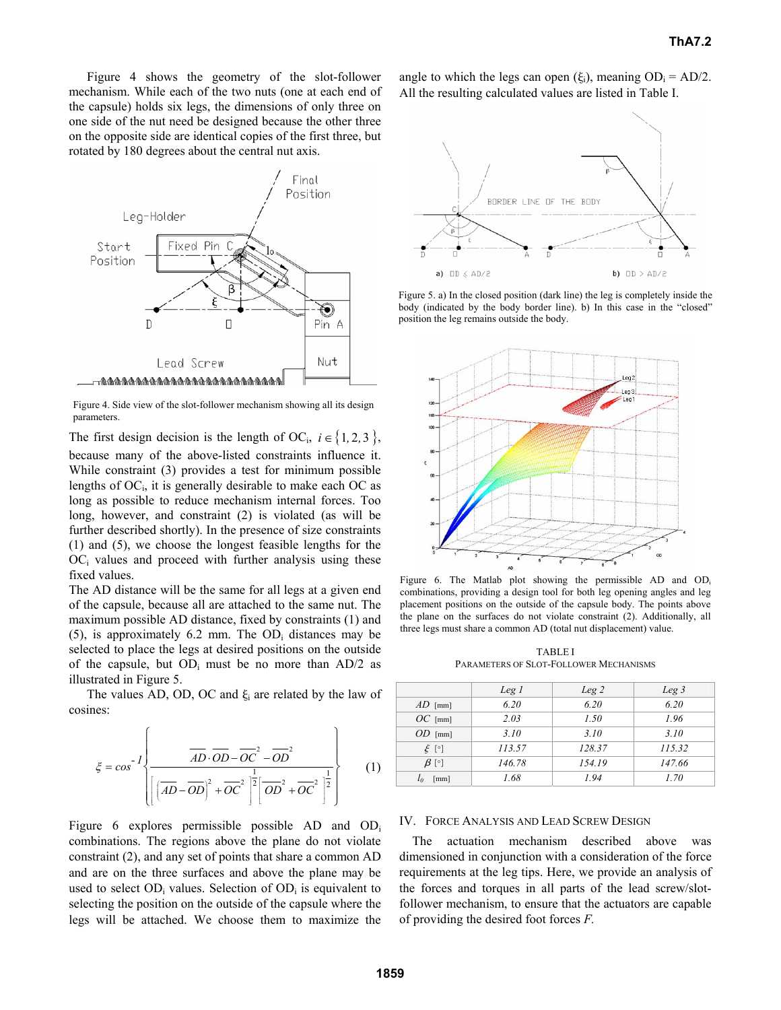Figure 4 shows the geometry of the slot-follower mechanism. While each of the two nuts (one at each end of the capsule) holds six legs, the dimensions of only three on one side of the nut need be designed because the other three on the opposite side are identical copies of the first three, but rotated by 180 degrees about the central nut axis.



Figure 4. Side view of the slot-follower mechanism showing all its design parameters.

The first design decision is the length of OC<sub>i</sub>,  $i \in \{1, 2, 3\}$ ,

because many of the above-listed constraints influence it. While constraint (3) provides a test for minimum possible lengths of  $OC<sub>i</sub>$ , it is generally desirable to make each OC as long as possible to reduce mechanism internal forces. Too long, however, and constraint (2) is violated (as will be further described shortly). In the presence of size constraints (1) and (5), we choose the longest feasible lengths for the  $OC<sub>i</sub>$  values and proceed with further analysis using these fixed values.

The AD distance will be the same for all legs at a given end of the capsule, because all are attached to the same nut. The maximum possible AD distance, fixed by constraints (1) and  $(5)$ , is approximately 6.2 mm. The OD<sub>i</sub> distances may be selected to place the legs at desired positions on the outside of the capsule, but  $OD_i$  must be no more than  $AD/2$  as illustrated in Figure 5.

The values AD, OD, OC and  $\xi_i$  are related by the law of cosines:

$$
\xi = \cos^{-1}\left\{\frac{\overline{AD} \cdot \overline{OD} - \overline{OC}^2 - \overline{OD}^2}{\left[\left(\overline{AD} - \overline{OD}\right)^2 + \overline{OC}^2\right]^{\frac{1}{2}}\left[\overline{OD}^2 + \overline{OC}^2\right]^{\frac{1}{2}}}\right\}
$$
(1)

Figure 6 explores permissible possible AD and OD<sub>i</sub> combinations. The regions above the plane do not violate constraint (2), and any set of points that share a common AD and are on the three surfaces and above the plane may be used to select  $OD_i$  values. Selection of  $OD_i$  is equivalent to selecting the position on the outside of the capsule where the legs will be attached. We choose them to maximize the

angle to which the legs can open ( $\xi_i$ ), meaning OD<sub>i</sub> = AD/2. All the resulting calculated values are listed in Table I.



Figure 5. a) In the closed position (dark line) the leg is completely inside the body (indicated by the body border line). b) In this case in the "closed" position the leg remains outside the body.



Figure 6. The Matlab plot showing the permissible AD and OD<sub>i</sub> combinations, providing a design tool for both leg opening angles and leg placement positions on the outside of the capsule body. The points above the plane on the surfaces do not violate constraint (2). Additionally, all three legs must share a common AD (total nut displacement) value.

TABLE I PARAMETERS OF SLOT-FOLLOWER MECHANISMS

|                      | Leg 1  | Leg 2  | Leg <sub>3</sub> |
|----------------------|--------|--------|------------------|
| $AD$ [mm]            | 6.20   | 6.20   | 6.20             |
| $OC$ [mm]            | 2.03   | 1.50   | 1.96             |
| $OD$ [mm]            | 3.10   | 3.10   | 3.10             |
| $\xi$ [°]            | 113.57 | 128.37 | 115.32           |
| $\beta$ [°]          | 146.78 | 154.19 | 147.66           |
| $\lceil$ mm $\rceil$ | 1.68   | 1.94   | 1.70             |

#### IV. FORCE ANALYSIS AND LEAD SCREW DESIGN

The actuation mechanism described above was dimensioned in conjunction with a consideration of the force requirements at the leg tips. Here, we provide an analysis of the forces and torques in all parts of the lead screw/slotfollower mechanism, to ensure that the actuators are capable of providing the desired foot forces *F.*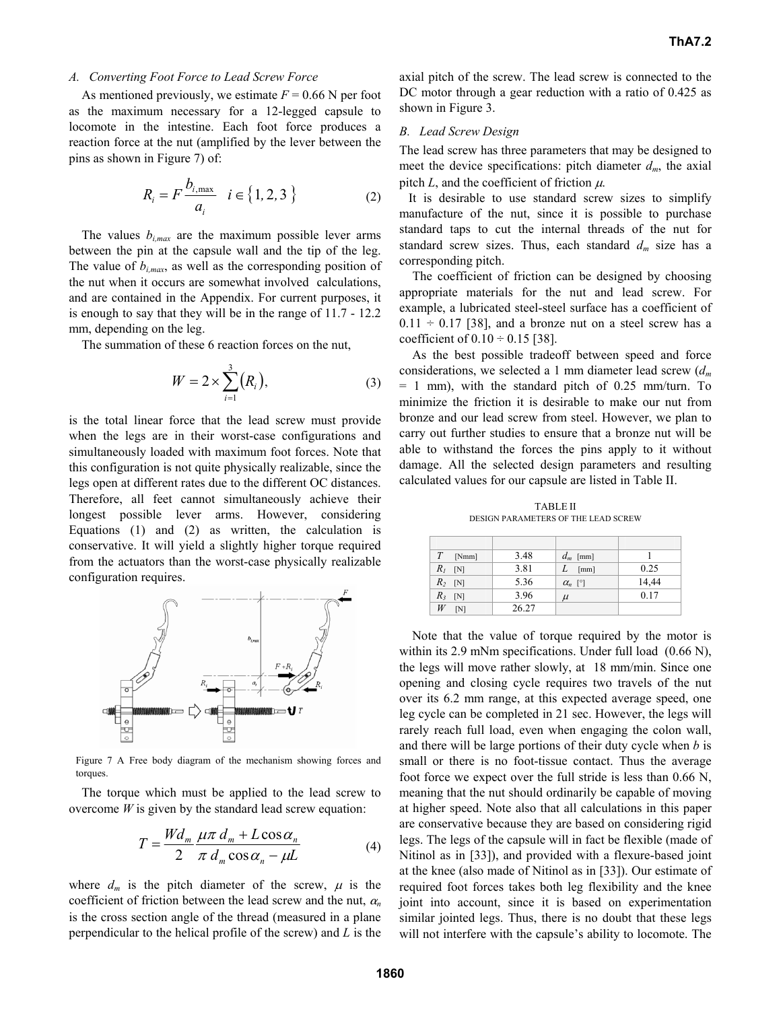# *A. Converting Foot Force to Lead Screw Force*

As mentioned previously, we estimate  $F = 0.66$  N per foot as the maximum necessary for a 12-legged capsule to locomote in the intestine. Each foot force produces a reaction force at the nut (amplified by the lever between the pins as shown in Figure 7) of:

$$
R_i = F \frac{b_{i,\text{max}}}{a_i} \quad i \in \{1, 2, 3\}
$$
 (2)

The values  $b_{i,max}$  are the maximum possible lever arms between the pin at the capsule wall and the tip of the leg. The value of  $b_{i,max}$ , as well as the corresponding position of the nut when it occurs are somewhat involved calculations, and are contained in the Appendix. For current purposes, it is enough to say that they will be in the range of 11.7 - 12.2 mm, depending on the leg.

The summation of these 6 reaction forces on the nut,

$$
W = 2 \times \sum_{i=1}^{3} (R_i), \tag{3}
$$

is the total linear force that the lead screw must provide when the legs are in their worst-case configurations and simultaneously loaded with maximum foot forces. Note that this configuration is not quite physically realizable, since the legs open at different rates due to the different OC distances. Therefore, all feet cannot simultaneously achieve their longest possible lever arms. However, considering Equations (1) and (2) as written, the calculation is conservative. It will yield a slightly higher torque required from the actuators than the worst-case physically realizable configuration requires.



Figure 7 A Free body diagram of the mechanism showing forces and torques

The torque which must be applied to the lead screw to overcome  $W$  is given by the standard lead screw equation:

$$
T = \frac{Wd_m}{2} \frac{\mu \pi \, d_m + L \cos \alpha_n}{\pi \, d_m \cos \alpha_n - \mu L}
$$
 (4)

where  $d_m$  is the pitch diameter of the screw,  $\mu$  is the coefficient of friction between the lead screw and the nut, <sup>α</sup>*<sup>n</sup>* is the cross section angle of the thread (measured in a plane perpendicular to the helical profile of the screw) and *L* is the axial pitch of the screw. The lead screw is connected to the DC motor through a gear reduction with a ratio of 0.425 as shown in Figure 3.

# *B. Lead Screw Design*

The lead screw has three parameters that may be designed to meet the device specifications: pitch diameter  $d_m$ , the axial pitch  $L$ , and the coefficient of friction  $\mu$ .

It is desirable to use standard screw sizes to simplify manufacture of the nut, since it is possible to purchase standard taps to cut the internal threads of the nut for standard screw sizes. Thus, each standard *dm* size has a corresponding pitch.

 The coefficient of friction can be designed by choosing appropriate materials for the nut and lead screw. For example, a lubricated steel-steel surface has a coefficient of  $0.11 \div 0.17$  [38], and a bronze nut on a steel screw has a coefficient of  $0.10 \div 0.15$  [38].

As the best possible tradeoff between speed and force considerations, we selected a 1 mm diameter lead screw (*dm* = 1 mm), with the standard pitch of 0.25 mm/turn. To minimize the friction it is desirable to make our nut from bronze and our lead screw from steel. However, we plan to carry out further studies to ensure that a bronze nut will be able to withstand the forces the pins apply to it without damage. All the selected design parameters and resulting calculated values for our capsule are listed in Table II.

TABLE II DESIGN PARAMETERS OF THE LEAD SCREW

| T<br>[Nmm]   | 3.48  | $d_m$ [mm]     |       |
|--------------|-------|----------------|-------|
| $R_I$<br>[N] | 3.81  | [mm]           | 0.25  |
| $R_2$ [N]    | 5.36  | $\alpha_n$ [°] | 14,44 |
| $R_3$ [N]    | 3.96  | $\mu$          | 0.17  |
| [N]          | 26.27 |                |       |

Note that the value of torque required by the motor is within its 2.9 mNm specifications. Under full load  $(0.66 \text{ N})$ , the legs will move rather slowly, at 18 mm/min. Since one opening and closing cycle requires two travels of the nut over its 6.2 mm range, at this expected average speed, one leg cycle can be completed in 21 sec. However, the legs will rarely reach full load, even when engaging the colon wall, and there will be large portions of their duty cycle when *b* is small or there is no foot-tissue contact. Thus the average foot force we expect over the full stride is less than 0.66 N, meaning that the nut should ordinarily be capable of moving at higher speed. Note also that all calculations in this paper are conservative because they are based on considering rigid legs. The legs of the capsule will in fact be flexible (made of Nitinol as in [33]), and provided with a flexure-based joint at the knee (also made of Nitinol as in [33]). Our estimate of required foot forces takes both leg flexibility and the knee joint into account, since it is based on experimentation similar jointed legs. Thus, there is no doubt that these legs will not interfere with the capsule's ability to locomote. The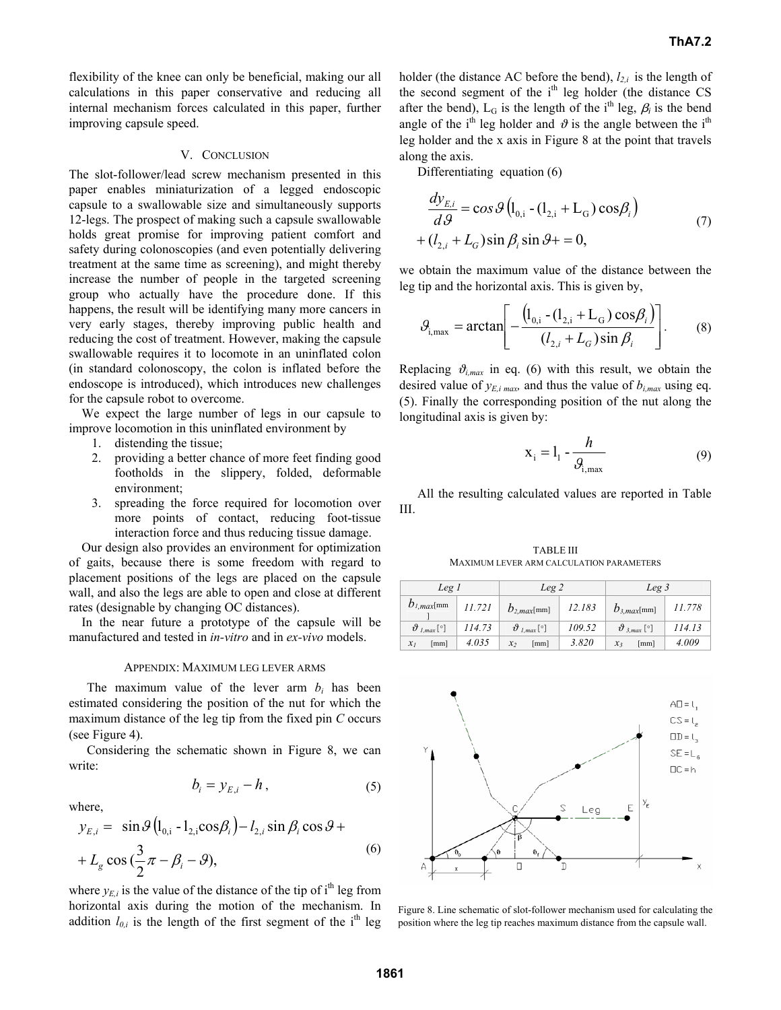flexibility of the knee can only be beneficial, making our all calculations in this paper conservative and reducing all internal mechanism forces calculated in this paper, further improving capsule speed.

#### V. CONCLUSION

The slot-follower/lead screw mechanism presented in this paper enables miniaturization of a legged endoscopic capsule to a swallowable size and simultaneously supports 12-legs. The prospect of making such a capsule swallowable holds great promise for improving patient comfort and safety during colonoscopies (and even potentially delivering treatment at the same time as screening), and might thereby increase the number of people in the targeted screening group who actually have the procedure done. If this happens, the result will be identifying many more cancers in very early stages, thereby improving public health and reducing the cost of treatment. However, making the capsule swallowable requires it to locomote in an uninflated colon (in standard colonoscopy, the colon is inflated before the endoscope is introduced), which introduces new challenges for the capsule robot to overcome.

We expect the large number of legs in our capsule to improve locomotion in this uninflated environment by

- 1. distending the tissue;
- 2. providing a better chance of more feet finding good footholds in the slippery, folded, deformable environment;
- 3. spreading the force required for locomotion over more points of contact, reducing foot-tissue interaction force and thus reducing tissue damage.

Our design also provides an environment for optimization of gaits, because there is some freedom with regard to placement positions of the legs are placed on the capsule wall, and also the legs are able to open and close at different rates (designable by changing OC distances).

In the near future a prototype of the capsule will be manufactured and tested in *in-vitro* and in *ex-vivo* models.

#### APPENDIX: MAXIMUM LEG LEVER ARMS

The maximum value of the lever arm  $b_i$  has been estimated considering the position of the nut for which the maximum distance of the leg tip from the fixed pin *C* occurs (see Figure 4).

Considering the schematic shown in Figure 8, we can write:

$$
b_i = y_{E,i} - h , \t\t(5)
$$

where,

$$
y_{E,i} = \sin \theta \left( l_{0,i} - l_{2,i} \cos \beta_i \right) - l_{2,i} \sin \beta_i \cos \theta +
$$
  
+  $L_g \cos \left( \frac{3}{2} \pi - \beta_i - \theta \right),$  (6)

where  $y_{E,i}$  is the value of the distance of the tip of i<sup>th</sup> leg from horizontal axis during the motion of the mechanism. In addition  $l_{0,i}$  is the length of the first segment of the i<sup>th</sup> leg holder (the distance AC before the bend),  $l_{2,i}$  is the length of the second segment of the  $i<sup>th</sup>$  leg holder (the distance CS after the bend),  $L_G$  is the length of the i<sup>th</sup> leg,  $\beta_i$  is the bend angle of the i<sup>th</sup> leg holder and  $\vartheta$  is the angle between the i<sup>th</sup> leg holder and the x axis in Figure 8 at the point that travels along the axis.

Differentiating equation (6)

$$
\frac{dy_{E,i}}{d\theta} = \cos\theta \left( l_{0,i} - (l_{2,i} + L_G) \cos\beta_i \right)
$$
  
+ 
$$
(l_{2,i} + L_G) \sin\beta_i \sin\theta + = 0,
$$
 (7)

we obtain the maximum value of the distance between the leg tip and the horizontal axis. This is given by,

$$
\mathcal{G}_{i,\max} = \arctan\left[-\frac{\left(l_{0,i} - (l_{2,i} + L_G)\cos\beta_i\right)}{(l_{2,i} + L_G)\sin\beta_i}\right].\tag{8}
$$

Replacing  $\vartheta_{i,max}$  in eq. (6) with this result, we obtain the desired value of  $y_{E,i \text{ max}}$  and thus the value of  $b_{i, \text{max}}$  using eq. (5). Finally the corresponding position of the nut along the longitudinal axis is given by:

$$
\mathbf{x}_{i} = \mathbf{l}_{1} - \frac{h}{\mathcal{G}_{i, \text{max}}} \tag{9}
$$

All the resulting calculated values are reported in Table III.

TABLE III MAXIMUM LEVER ARM CALCULATION PARAMETERS

| Leg I                   |        | Leg 2                   |        | Leg 3                   |        |
|-------------------------|--------|-------------------------|--------|-------------------------|--------|
| $b_{l,max}$ [mm]        | 11.721 | $b_{2,max}$ [mm]        | 12.183 | $b_{3,max}$ [mm]        | 11.778 |
| $\vartheta_{l,max}$ [°] | 114.73 | $\vartheta_{l,max}$ [°] | 109.52 | $\vartheta_{3,max}$ [°] | 114.13 |
| [mm]<br>$\mathcal{X}_I$ | 4.035  | [mm]<br>x <sub>2</sub>  | 3.820  | [mm]<br>$x_3$           | 4.009  |



Figure 8. Line schematic of slot-follower mechanism used for calculating the position where the leg tip reaches maximum distance from the capsule wall.